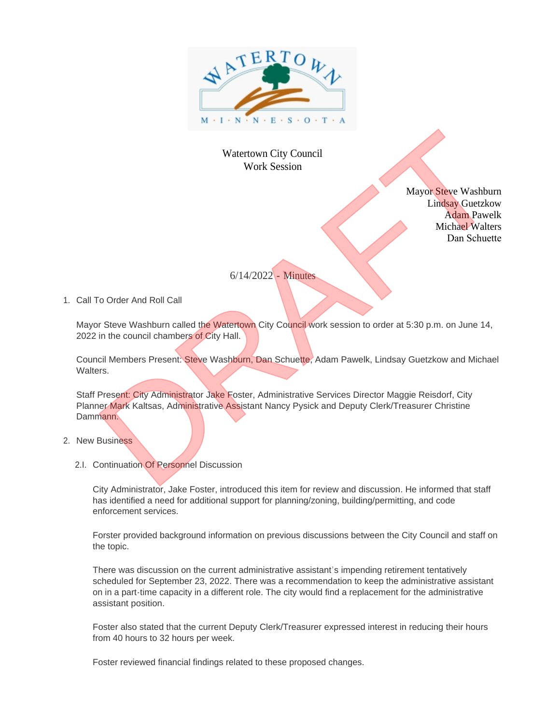

## Watertown City Council Work Session

Mayor Steve Washburn Lindsay Guetzkow Adam Pawelk Michael Walters Dan Schuette

## 6/14/2022 - Minutes

1. Call To Order And Roll Call

Mayor Steve Washburn called the Watertown City Council work session to order at 5:30 p.m. on June 14, 2022 in the council chambers of City Hall.

Council Members Present: Steve Washburn, Dan Schuette, Adam Pawelk, Lindsay Guetzkow and Michael Walters

Staff Present: City Administrator Jake Foster, Administrative Services Director Maggie Reisdorf, City Planner Mark Kaltsas, Administrative Assistant Nancy Pysick and Deputy Clerk/Treasurer Christine Dammann.

- 2. New Business
	- 2.I. Continuation Of Personnel Discussion

City Administrator, Jake Foster, introduced this item for review and discussion. He informed that staff has identified a need for additional support for planning/zoning, building/permitting, and code enforcement services.

Forster provided background information on previous discussions between the City Council and staff on the topic.

There was discussion on the current administrative assistant's impending retirement tentatively scheduled for September 23, 2022. There was a recommendation to keep the administrative assistant on in a part-time capacity in a different role. The city would find a replacement for the administrative assistant position. Watchware Tity Committee Mark Session<br>
Mark Session<br>
Mark Session<br>
Mark Session<br>
Mark Session<br>
Mark Session<br>
Schuelte<br>
1. Call To Order And Raft Call<br>
Schuelte<br>
1. Call To Order And Raft Call<br>
Schuelte<br>
2. Device Washingto

Foster also stated that the current Deputy Clerk/Treasurer expressed interest in reducing their hours from 40 hours to 32 hours per week.

Foster reviewed financial findings related to these proposed changes.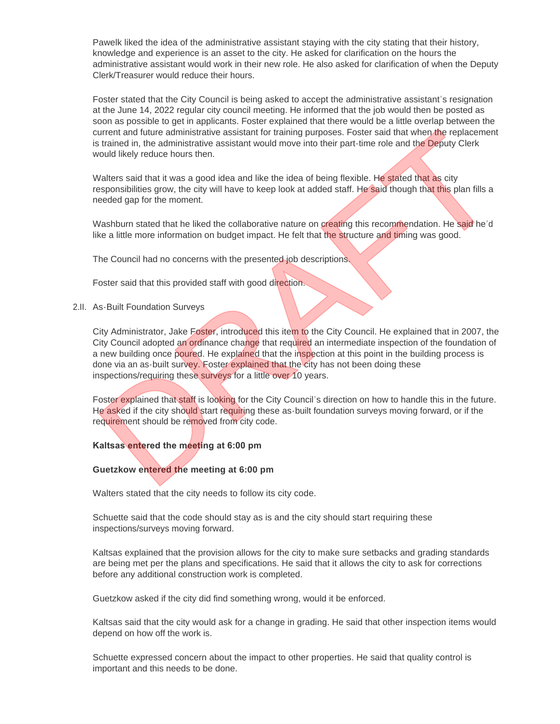Pawelk liked the idea of the administrative assistant staying with the city stating that their history, knowledge and experience is an asset to the city. He asked for clarification on the hours the administrative assistant would work in their new role. He also asked for clarification of when the Deputy Clerk/Treasurer would reduce their hours.

Foster stated that the City Council is being asked to accept the administrative assistant's resignation at the June 14, 2022 regular city council meeting. He informed that the job would then be posted as soon as possible to get in applicants. Foster explained that there would be a little overlap between the current and future administrative assistant for training purposes. Foster said that when the replacement is trained in, the administrative assistant would move into their part-time role and the Deputy Clerk would likely reduce hours then.

Walters said that it was a good idea and like the idea of being flexible. He stated that as city responsibilities grow, the city will have to keep look at added staff. He said though that this plan fills a needed gap for the moment.

Washburn stated that he liked the collaborative nature on creating this recommendation. He said he'd like a little more information on budget impact. He felt that the structure and timing was good.

The Council had no concerns with the presented job descriptions.

Foster said that this provided staff with good direction.

2.II. As-Built Foundation Surveys

City Administrator, Jake Foster, introduced this item to the City Council. He explained that in 2007, the City Council adopted an ordinance change that required an intermediate inspection of the foundation of a new building once poured. He explained that the inspection at this point in the building process is done via an as-built survey. Foster explained that the city has not been doing these inspections/requiring these surveys for a little over 10 years. current and tuture antimistration, assistant for training purposes. Forest stail that we of the replacement of the constrained in the constrained in the constrained in the constrained in the constrained in the constrained

Foster explained that staff is looking for the City Council's direction on how to handle this in the future. He asked if the city should start requiring these as-built foundation surveys moving forward, or if the requirement should be removed from city code.

**Kaltsas entered the meeting at 6:00 pm** 

## **Guetzkow entered the meeting at 6:00 pm**

Walters stated that the city needs to follow its city code.

Schuette said that the code should stay as is and the city should start requiring these inspections/surveys moving forward.

Kaltsas explained that the provision allows for the city to make sure setbacks and grading standards are being met per the plans and specifications. He said that it allows the city to ask for corrections before any additional construction work is completed.

Guetzkow asked if the city did find something wrong, would it be enforced.

Kaltsas said that the city would ask for a change in grading. He said that other inspection items would depend on how off the work is.

Schuette expressed concern about the impact to other properties. He said that quality control is important and this needs to be done.